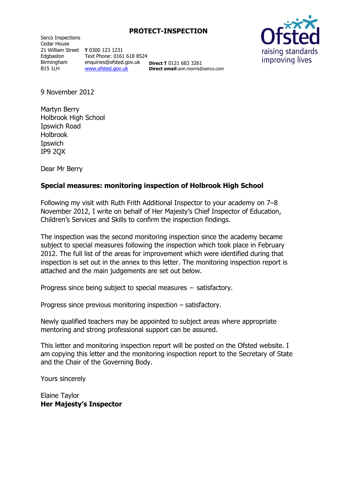Serco Inspections Cedar House 21 William Street **T** 0300 123 1231 Edgbaston Birmingham B15 1LH

Text Phone: 0161 618 8524 enquiries@ofsted.gov.uk [www.ofsted.gov.uk](http://www.ofsted.gov.uk/)

**Direct T** 0121 683 3261 **Direct email:**ann.morris@serco.com



9 November 2012

Martyn Berry Holbrook High School Ipswich Road Holbrook Ipswich IP9 2QX

Dear Mr Berry

#### **Special measures: monitoring inspection of Holbrook High School**

Following my visit with Ruth Frith Additional Inspector to your academy on 7–8 November 2012, I write on behalf of Her Majesty's Chief Inspector of Education, Children's Services and Skills to confirm the inspection findings.

The inspection was the second monitoring inspection since the academy became subject to special measures following the inspection which took place in February 2012. The full list of the areas for improvement which were identified during that inspection is set out in the annex to this letter. The monitoring inspection report is attached and the main judgements are set out below.

Progress since being subject to special measures – satisfactory.

Progress since previous monitoring inspection – satisfactory.

Newly qualified teachers may be appointed to subject areas where appropriate mentoring and strong professional support can be assured.

This letter and monitoring inspection report will be posted on the Ofsted website. I am copying this letter and the monitoring inspection report to the Secretary of State and the Chair of the Governing Body.

Yours sincerely

Elaine Taylor **Her Majesty's Inspector**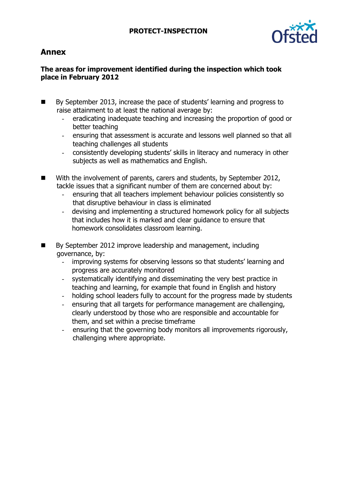

# **Annex**

# **The areas for improvement identified during the inspection which took place in February 2012**

- By September 2013, increase the pace of students' learning and progress to raise attainment to at least the national average by:
	- eradicating inadequate teaching and increasing the proportion of good or better teaching
	- ensuring that assessment is accurate and lessons well planned so that all teaching challenges all students
	- consistently developing students' skills in literacy and numeracy in other subjects as well as mathematics and English.
- With the involvement of parents, carers and students, by September 2012, tackle issues that a significant number of them are concerned about by:
	- ensuring that all teachers implement behaviour policies consistently so that disruptive behaviour in class is eliminated
	- devising and implementing a structured homework policy for all subjects that includes how it is marked and clear guidance to ensure that homework consolidates classroom learning.
- By September 2012 improve leadership and management, including governance, by:
	- improving systems for observing lessons so that students' learning and progress are accurately monitored
	- systematically identifying and disseminating the very best practice in teaching and learning, for example that found in English and history
	- holding school leaders fully to account for the progress made by students
	- ensuring that all targets for performance management are challenging, clearly understood by those who are responsible and accountable for them, and set within a precise timeframe
	- ensuring that the governing body monitors all improvements rigorously, challenging where appropriate.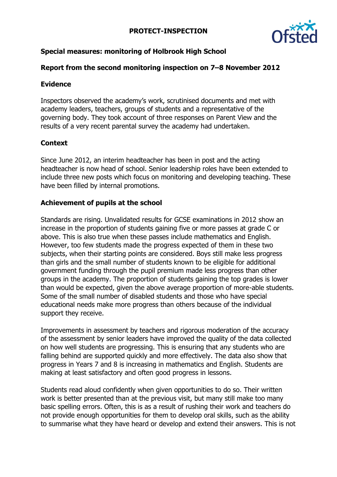

# **Special measures: monitoring of Holbrook High School**

### **Report from the second monitoring inspection on 7–8 November 2012**

### **Evidence**

Inspectors observed the academy's work, scrutinised documents and met with academy leaders, teachers, groups of students and a representative of the governing body. They took account of three responses on Parent View and the results of a very recent parental survey the academy had undertaken.

# **Context**

Since June 2012, an interim headteacher has been in post and the acting headteacher is now head of school. Senior leadership roles have been extended to include three new posts which focus on monitoring and developing teaching. These have been filled by internal promotions.

### **Achievement of pupils at the school**

Standards are rising. Unvalidated results for GCSE examinations in 2012 show an increase in the proportion of students gaining five or more passes at grade C or above. This is also true when these passes include mathematics and English. However, too few students made the progress expected of them in these two subjects, when their starting points are considered. Boys still make less progress than girls and the small number of students known to be eligible for additional government funding through the pupil premium made less progress than other groups in the academy. The proportion of students gaining the top grades is lower than would be expected, given the above average proportion of more-able students. Some of the small number of disabled students and those who have special educational needs make more progress than others because of the individual support they receive.

Improvements in assessment by teachers and rigorous moderation of the accuracy of the assessment by senior leaders have improved the quality of the data collected on how well students are progressing. This is ensuring that any students who are falling behind are supported quickly and more effectively. The data also show that progress in Years 7 and 8 is increasing in mathematics and English. Students are making at least satisfactory and often good progress in lessons.

Students read aloud confidently when given opportunities to do so. Their written work is better presented than at the previous visit, but many still make too many basic spelling errors. Often, this is as a result of rushing their work and teachers do not provide enough opportunities for them to develop oral skills, such as the ability to summarise what they have heard or develop and extend their answers. This is not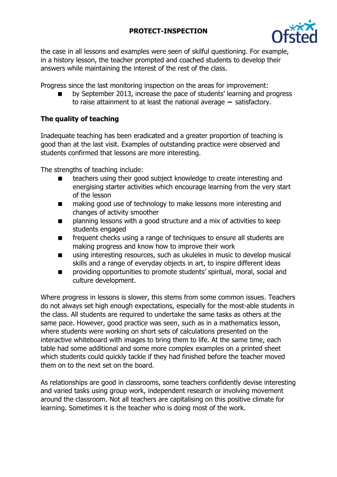

the case in all lessons and examples were seen of skilful questioning. For example, in a history lesson, the teacher prompted and coached students to develop their answers while maintaining the interest of the rest of the class.

Progress since the last monitoring inspection on the areas for improvement:

 by September 2013, increase the pace of students' learning and progress to raise attainment to at least the national average **–** satisfactory.

### **The quality of teaching**

Inadequate teaching has been eradicated and a greater proportion of teaching is good than at the last visit. Examples of outstanding practice were observed and students confirmed that lessons are more interesting.

The strengths of teaching include:

- teachers using their good subject knowledge to create interesting and energising starter activities which encourage learning from the very start of the lesson
- making good use of technology to make lessons more interesting and changes of activity smoother
- **n** planning lessons with a good structure and a mix of activities to keep students engaged
- **FREQUENTE CHECKS USING A range of techniques to ensure all students are** making progress and know how to improve their work
- using interesting resources, such as ukuleles in music to develop musical skills and a range of everyday objects in art, to inspire different ideas
- **n** providing opportunities to promote students' spiritual, moral, social and culture development.

Where progress in lessons is slower, this stems from some common issues. Teachers do not always set high enough expectations, especially for the most-able students in the class. All students are required to undertake the same tasks as others at the same pace. However, good practice was seen, such as in a mathematics lesson, where students were working on short sets of calculations presented on the interactive whiteboard with images to bring them to life. At the same time, each table had some additional and some more complex examples on a printed sheet which students could quickly tackle if they had finished before the teacher moved them on to the next set on the board.

As relationships are good in classrooms, some teachers confidently devise interesting and varied tasks using group work, independent research or involving movement around the classroom. Not all teachers are capitalising on this positive climate for learning. Sometimes it is the teacher who is doing most of the work.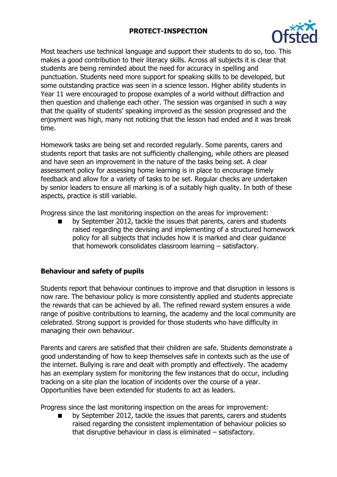

Most teachers use technical language and support their students to do so, too. This makes a good contribution to their literacy skills. Across all subjects it is clear that students are being reminded about the need for accuracy in spelling and punctuation. Students need more support for speaking skills to be developed, but some outstanding practice was seen in a science lesson. Higher ability students in Year 11 were encouraged to propose examples of a world without diffraction and then question and challenge each other. The session was organised in such a way that the quality of students' speaking improved as the session progressed and the enjoyment was high, many not noticing that the lesson had ended and it was break time.

Homework tasks are being set and recorded regularly. Some parents, carers and students report that tasks are not sufficiently challenging, while others are pleased and have seen an improvement in the nature of the tasks being set. A clear assessment policy for assessing home learning is in place to encourage timely feedback and allow for a variety of tasks to be set. Regular checks are undertaken by senior leaders to ensure all marking is of a suitably high quality. In both of these aspects, practice is still variable.

Progress since the last monitoring inspection on the areas for improvement:

 by September 2012, tackle the issues that parents, carers and students raised regarding the devising and implementing of a structured homework policy for all subjects that includes how it is marked and clear guidance that homework consolidates classroom learning – satisfactory.

# **Behaviour and safety of pupils**

Students report that behaviour continues to improve and that disruption in lessons is now rare. The behaviour policy is more consistently applied and students appreciate the rewards that can be achieved by all. The refined reward system ensures a wide range of positive contributions to learning, the academy and the local community are celebrated. Strong support is provided for those students who have difficulty in managing their own behaviour.

Parents and carers are satisfied that their children are safe. Students demonstrate a good understanding of how to keep themselves safe in contexts such as the use of the internet. Bullying is rare and dealt with promptly and effectively. The academy has an exemplary system for monitoring the few instances that do occur, including tracking on a site plan the location of incidents over the course of a year. Opportunities have been extended for students to act as leaders.

Progress since the last monitoring inspection on the areas for improvement:

 by September 2012, tackle the issues that parents, carers and students raised regarding the consistent implementation of behaviour policies so that disruptive behaviour in class is eliminated – satisfactory.